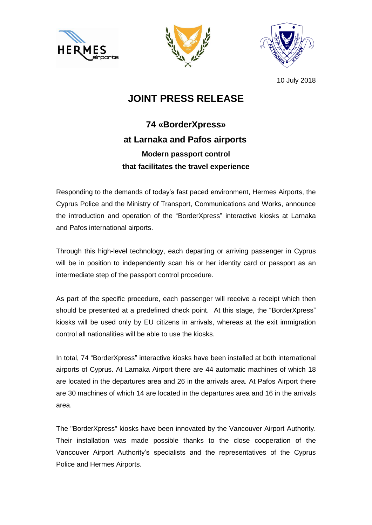





10 July 2018

## **JOINT PRESS RELEASE**

## **74 «BorderXpress» at Larnaka and Pafos airports Modern passport control that facilitates the travel experience**

Responding to the demands of today's fast paced environment, Hermes Airports, the Cyprus Police and the Ministry of Transport, Communications and Works, announce the introduction and operation of the "BorderXpress" interactive kiosks at Larnaka and Pafos international airports.

Through this high-level technology, each departing or arriving passenger in Cyprus will be in position to independently scan his or her identity card or passport as an intermediate step of the passport control procedure.

As part of the specific procedure, each passenger will receive a receipt which then should be presented at a predefined check point. At this stage, the "BorderXpress" kiosks will be used only by EU citizens in arrivals, whereas at the exit immigration control all nationalities will be able to use the kiosks.

In total, 74 "BorderXpress" interactive kiosks have been installed at both international airports of Cyprus. At Larnaka Airport there are 44 automatic machines of which 18 are located in the departures area and 26 in the arrivals area. At Pafos Airport there are 30 machines of which 14 are located in the departures area and 16 in the arrivals area.

The "BorderXpress" kiosks have been innovated by the Vancouver Airport Authority. Their installation was made possible thanks to the close cooperation of the Vancouver Airport Authority's specialists and the representatives of the Cyprus Police and Hermes Airports.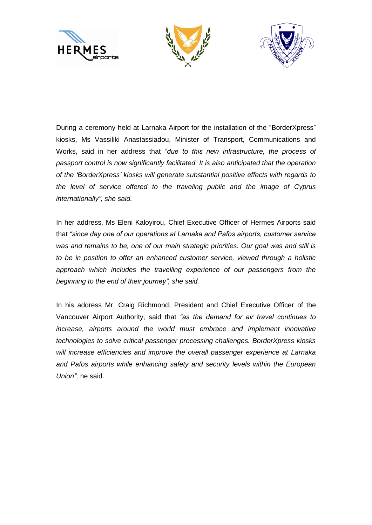





During a ceremony held at Larnaka Airport for the installation of the "BorderXpress" kiosks, Ms Vassiliki Anastassiadou, Minister of Transport, Communications and Works, said in her address that *"due to this new infrastructure, the process of passport control is now significantly facilitated. It is also anticipated that the operation of the 'BorderXpress' kiosks will generate substantial positive effects with regards to the level of service offered to the traveling public and the image of Cyprus internationally", she said.*

In her address, Ms Eleni Kaloyirou, Chief Executive Officer of Hermes Airports said that *"since day one of our operations at Larnaka and Pafos airports, customer service was and remains to be, one of our main strategic priorities. Our goal was and still is to be in position to offer an enhanced customer service, viewed through a holistic approach which includes the travelling experience of our passengers from the beginning to the end of their journey", she said.*

In his address Mr. Craig Richmond, President and Chief Executive Officer of the Vancouver Airport Authority, said that *"as the demand for air travel continues to increase, airports around the world must embrace and implement innovative technologies to solve critical passenger processing challenges. BorderXpress kiosks will increase efficiencies and improve the overall passenger experience at Larnaka and Pafos airports while enhancing safety and security levels within the European Union",* he said.